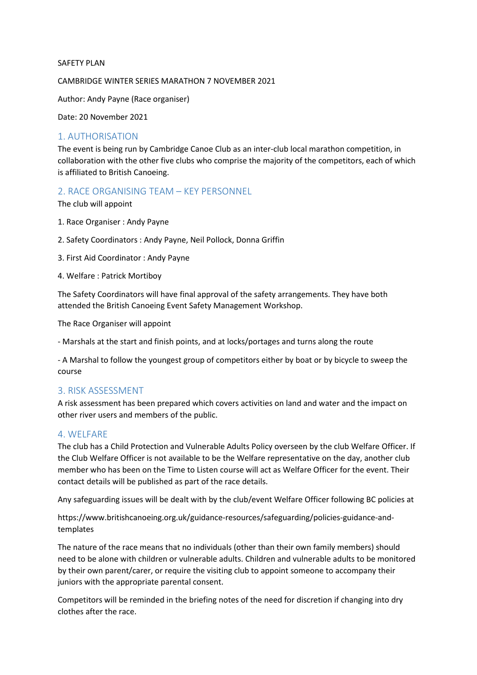#### SAFETY PLAN

CAMBRIDGE WINTER SERIES MARATHON 7 NOVEMBER 2021

Author: Andy Payne (Race organiser)

Date: 20 November 2021

### 1. AUTHORISATION

The event is being run by Cambridge Canoe Club as an inter-club local marathon competition, in collaboration with the other five clubs who comprise the majority of the competitors, each of which is affiliated to British Canoeing.

### 2. RACE ORGANISING TEAM – KEY PERSONNEL

The club will appoint

- 1. Race Organiser : Andy Payne
- 2. Safety Coordinators : Andy Payne, Neil Pollock, Donna Griffin
- 3. First Aid Coordinator : Andy Payne
- 4. Welfare : Patrick Mortiboy

The Safety Coordinators will have final approval of the safety arrangements. They have both attended the British Canoeing Event Safety Management Workshop.

The Race Organiser will appoint

- Marshals at the start and finish points, and at locks/portages and turns along the route

- A Marshal to follow the youngest group of competitors either by boat or by bicycle to sweep the course

## 3. RISK ASSESSMENT

A risk assessment has been prepared which covers activities on land and water and the impact on other river users and members of the public.

### 4. WELFARE

The club has a Child Protection and Vulnerable Adults Policy overseen by the club Welfare Officer. If the Club Welfare Officer is not available to be the Welfare representative on the day, another club member who has been on the Time to Listen course will act as Welfare Officer for the event. Their contact details will be published as part of the race details.

Any safeguarding issues will be dealt with by the club/event Welfare Officer following BC policies at

https://www.britishcanoeing.org.uk/guidance-resources/safeguarding/policies-guidance-andtemplates

The nature of the race means that no individuals (other than their own family members) should need to be alone with children or vulnerable adults. Children and vulnerable adults to be monitored by their own parent/carer, or require the visiting club to appoint someone to accompany their juniors with the appropriate parental consent.

Competitors will be reminded in the briefing notes of the need for discretion if changing into dry clothes after the race.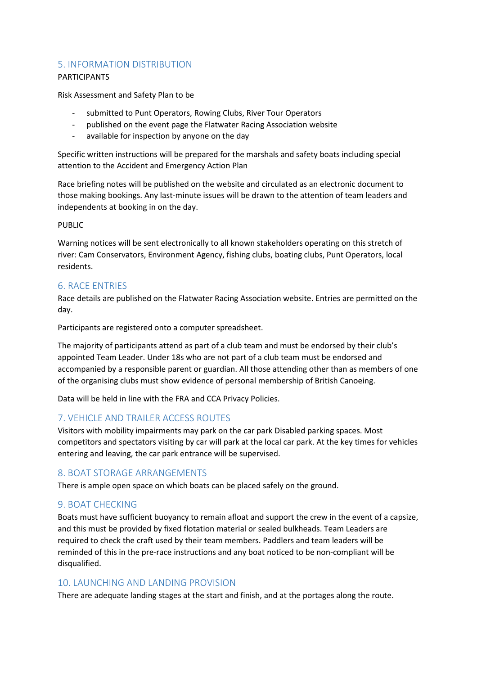# 5. INFORMATION DISTRIBUTION

### PARTICIPANTS

Risk Assessment and Safety Plan to be

- submitted to Punt Operators, Rowing Clubs, River Tour Operators
- published on the event page the Flatwater Racing Association website
- available for inspection by anyone on the day

Specific written instructions will be prepared for the marshals and safety boats including special attention to the Accident and Emergency Action Plan

Race briefing notes will be published on the website and circulated as an electronic document to those making bookings. Any last-minute issues will be drawn to the attention of team leaders and independents at booking in on the day.

### PUBLIC

Warning notices will be sent electronically to all known stakeholders operating on this stretch of river: Cam Conservators, Environment Agency, fishing clubs, boating clubs, Punt Operators, local residents.

# 6. RACE ENTRIES

Race details are published on the Flatwater Racing Association website. Entries are permitted on the day.

Participants are registered onto a computer spreadsheet.

The majority of participants attend as part of a club team and must be endorsed by their club's appointed Team Leader. Under 18s who are not part of a club team must be endorsed and accompanied by a responsible parent or guardian. All those attending other than as members of one of the organising clubs must show evidence of personal membership of British Canoeing.

Data will be held in line with the FRA and CCA Privacy Policies.

## 7. VEHICLE AND TRAILER ACCESS ROUTES

Visitors with mobility impairments may park on the car park Disabled parking spaces. Most competitors and spectators visiting by car will park at the local car park. At the key times for vehicles entering and leaving, the car park entrance will be supervised.

# 8. BOAT STORAGE ARRANGEMENTS

There is ample open space on which boats can be placed safely on the ground.

# 9. BOAT CHECKING

Boats must have sufficient buoyancy to remain afloat and support the crew in the event of a capsize, and this must be provided by fixed flotation material or sealed bulkheads. Team Leaders are required to check the craft used by their team members. Paddlers and team leaders will be reminded of this in the pre-race instructions and any boat noticed to be non-compliant will be disqualified.

## 10. LAUNCHING AND LANDING PROVISION

There are adequate landing stages at the start and finish, and at the portages along the route.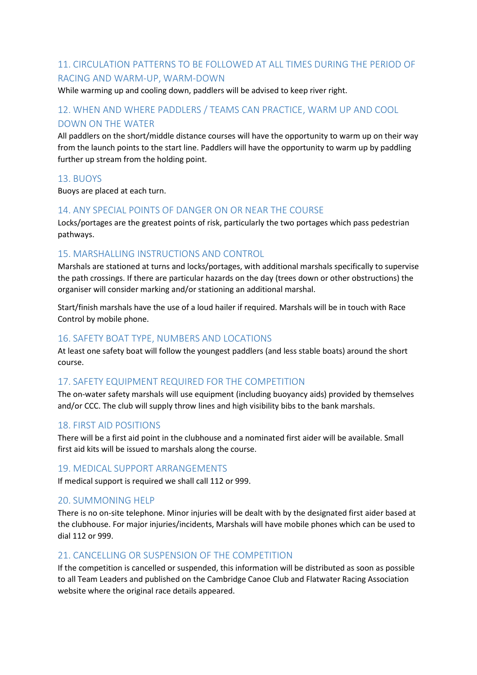# 11. CIRCULATION PATTERNS TO BE FOLLOWED AT ALL TIMES DURING THE PERIOD OF RACING AND WARM-UP, WARM-DOWN

While warming up and cooling down, paddlers will be advised to keep river right.

# 12. WHEN AND WHERE PADDLERS / TEAMS CAN PRACTICE, WARM UP AND COOL DOWN ON THE WATER

All paddlers on the short/middle distance courses will have the opportunity to warm up on their way from the launch points to the start line. Paddlers will have the opportunity to warm up by paddling further up stream from the holding point.

# 13. BUOYS

Buoys are placed at each turn.

# 14. ANY SPECIAL POINTS OF DANGER ON OR NEAR THE COURSE

Locks/portages are the greatest points of risk, particularly the two portages which pass pedestrian pathways.

# 15. MARSHALLING INSTRUCTIONS AND CONTROL

Marshals are stationed at turns and locks/portages, with additional marshals specifically to supervise the path crossings. If there are particular hazards on the day (trees down or other obstructions) the organiser will consider marking and/or stationing an additional marshal.

Start/finish marshals have the use of a loud hailer if required. Marshals will be in touch with Race Control by mobile phone.

## 16. SAFETY BOAT TYPE, NUMBERS AND LOCATIONS

At least one safety boat will follow the youngest paddlers (and less stable boats) around the short course.

## 17. SAFETY EQUIPMENT REQUIRED FOR THE COMPETITION

The on-water safety marshals will use equipment (including buoyancy aids) provided by themselves and/or CCC. The club will supply throw lines and high visibility bibs to the bank marshals.

## 18. FIRST AID POSITIONS

There will be a first aid point in the clubhouse and a nominated first aider will be available. Small first aid kits will be issued to marshals along the course.

## 19. MEDICAL SUPPORT ARRANGEMENTS

If medical support is required we shall call 112 or 999.

## 20. SUMMONING HELP

There is no on-site telephone. Minor injuries will be dealt with by the designated first aider based at the clubhouse. For major injuries/incidents, Marshals will have mobile phones which can be used to dial 112 or 999.

# 21. CANCELLING OR SUSPENSION OF THE COMPETITION

If the competition is cancelled or suspended, this information will be distributed as soon as possible to all Team Leaders and published on the Cambridge Canoe Club and Flatwater Racing Association website where the original race details appeared.